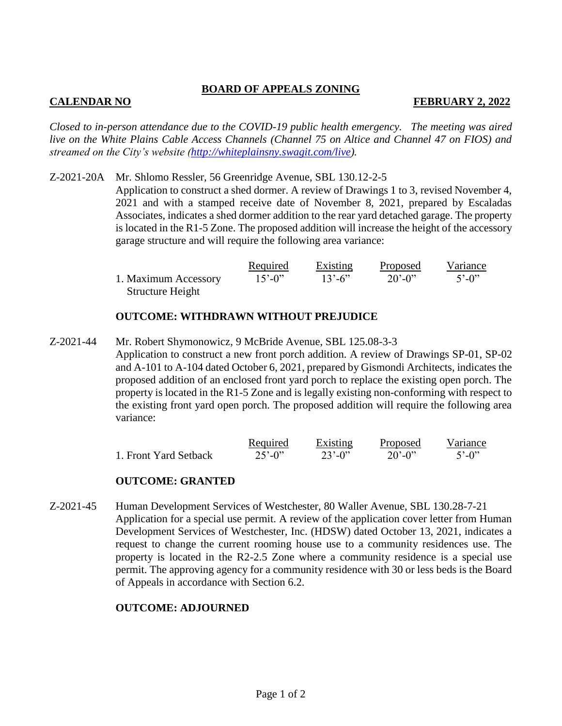# **BOARD OF APPEALS ZONING**

# **CALENDAR NO FEBRUARY 2, 2022**

*Closed to in-person attendance due to the COVID-19 public health emergency. The meeting was aired live on the White Plains Cable Access Channels (Channel 75 on Altice and Channel 47 on FIOS) and streamed on the City's website [\(http://whiteplainsny.swagit.com/live\)](http://whiteplainsny.swagit.com/live).*

Z-2021-20A Mr. Shlomo Ressler, 56 Greenridge Avenue, SBL 130.12-2-5 Application to construct a shed dormer. A review of Drawings 1 to 3, revised November 4, 2021 and with a stamped receive date of November 8, 2021, prepared by Escaladas Associates, indicates a shed dormer addition to the rear yard detached garage. The property is located in the R1-5 Zone. The proposed addition will increase the height of the accessory garage structure and will require the following area variance:

|                      | <u>Required</u>          | Existing                 | <u>Proposed</u> | Variance                |
|----------------------|--------------------------|--------------------------|-----------------|-------------------------|
| 1. Maximum Accessory | $15^{\circ} - 0^{\circ}$ | $13^{\circ} - 6^{\circ}$ | $20' - 0''$     | $5^{\circ} - 0^{\circ}$ |
| Structure Height     |                          |                          |                 |                         |

# **OUTCOME: WITHDRAWN WITHOUT PREJUDICE**

Z-2021-44 Mr. Robert Shymonowicz, 9 McBride Avenue, SBL 125.08-3-3 Application to construct a new front porch addition. A review of Drawings SP-01, SP-02 and A-101 to A-104 dated October 6, 2021, prepared by Gismondi Architects, indicates the proposed addition of an enclosed front yard porch to replace the existing open porch. The property is located in the R1-5 Zone and is legally existing non-conforming with respect to the existing front yard open porch. The proposed addition will require the following area variance:

|                       | Required                 | Existing    | Proposed                 | Variance                |
|-----------------------|--------------------------|-------------|--------------------------|-------------------------|
| 1. Front Yard Setback | $25^{\circ} - 0^{\circ}$ | $23' - 0''$ | $20^{\circ} - 0^{\circ}$ | $5^{\circ} - 0^{\circ}$ |

# **OUTCOME: GRANTED**

Z-2021-45 Human Development Services of Westchester, 80 Waller Avenue, SBL 130.28-7-21 Application for a special use permit. A review of the application cover letter from Human Development Services of Westchester, Inc. (HDSW) dated October 13, 2021, indicates a request to change the current rooming house use to a community residences use. The property is located in the R2-2.5 Zone where a community residence is a special use permit. The approving agency for a community residence with 30 or less beds is the Board of Appeals in accordance with Section 6.2.

# **OUTCOME: ADJOURNED**